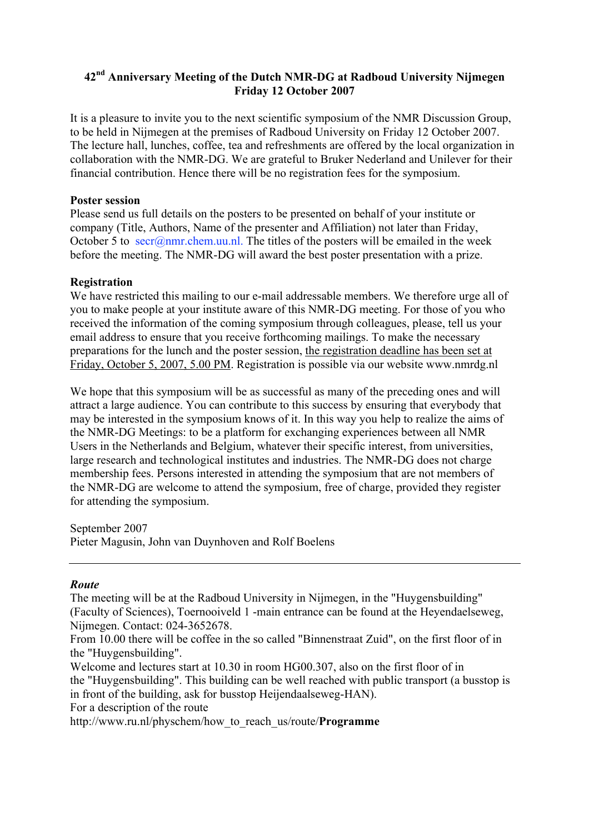# **42nd Anniversary Meeting of the Dutch NMR-DG at Radboud University Nijmegen Friday 12 October 2007**

It is a pleasure to invite you to the next scientific symposium of the NMR Discussion Group, to be held in Nijmegen at the premises of Radboud University on Friday 12 October 2007. The lecture hall, lunches, coffee, tea and refreshments are offered by the local organization in collaboration with the NMR-DG. We are grateful to Bruker Nederland and Unilever for their financial contribution. Hence there will be no registration fees for the symposium.

## **Poster session**

Please send us full details on the posters to be presented on behalf of your institute or company (Title, Authors, Name of the presenter and Affiliation) not later than Friday, October 5 to  $\sec(a)$ nmr.chem.uu.nl. The titles of the posters will be emailed in the week before the meeting. The NMR-DG will award the best poster presentation with a prize.

## **Registration**

We have restricted this mailing to our e-mail addressable members. We therefore urge all of you to make people at your institute aware of this NMR-DG meeting. For those of you who received the information of the coming symposium through colleagues, please, tell us your email address to ensure that you receive forthcoming mailings. To make the necessary preparations for the lunch and the poster session, the registration deadline has been set at Friday, October 5, 2007, 5.00 PM. Registration is possible via our website www.nmrdg.nl

We hope that this symposium will be as successful as many of the preceding ones and will attract a large audience. You can contribute to this success by ensuring that everybody that may be interested in the symposium knows of it. In this way you help to realize the aims of the NMR-DG Meetings: to be a platform for exchanging experiences between all NMR Users in the Netherlands and Belgium, whatever their specific interest, from universities, large research and technological institutes and industries. The NMR-DG does not charge membership fees. Persons interested in attending the symposium that are not members of the NMR-DG are welcome to attend the symposium, free of charge, provided they register for attending the symposium.

September 2007 Pieter Magusin, John van Duynhoven and Rolf Boelens

### *Route*

The meeting will be at the Radboud University in Nijmegen, in the "Huygensbuilding" (Faculty of Sciences), Toernooiveld 1 -main entrance can be found at the Heyendaelseweg, Nijmegen. Contact: 024-3652678.

From 10.00 there will be coffee in the so called "Binnenstraat Zuid", on the first floor of in the "Huygensbuilding".

Welcome and lectures start at 10.30 in room HG00.307, also on the first floor of in the "Huygensbuilding". This building can be well reached with public transport (a busstop is in front of the building, ask for busstop Heijendaalseweg-HAN). For a description of the route

http://www.ru.nl/physchem/how\_to\_reach\_us/route/**Programme**